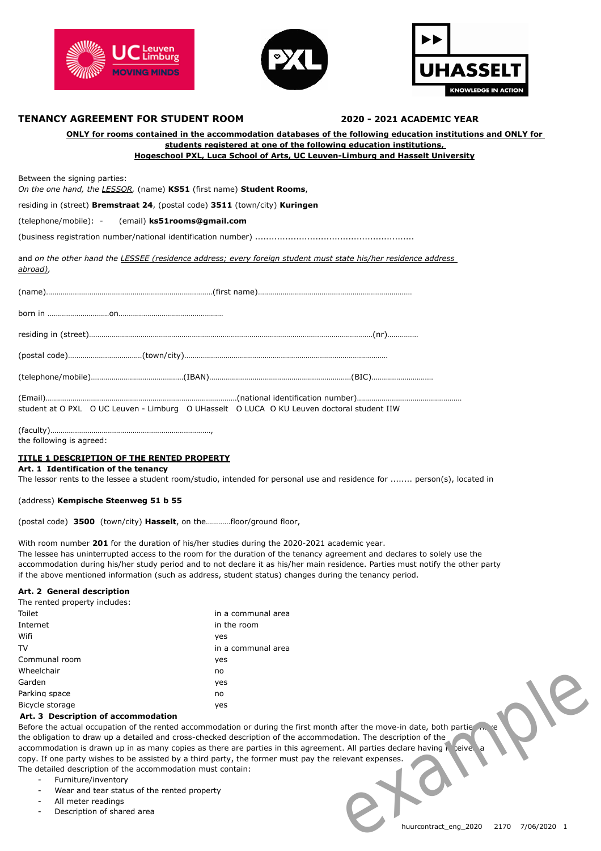





# **TENANCY AGREEMENT FOR STUDENT ROOM 2020 - 2021 ACADEMIC YEAR**

| ONLY for rooms contained in the accommodation databases of the following education institutions and ONLY for<br>students registered at one of the following education institutions.<br><b>Hogeschool PXL, Luca School of Arts, UC Leuven-Limburg and Hasselt University</b> |  |  |
|-----------------------------------------------------------------------------------------------------------------------------------------------------------------------------------------------------------------------------------------------------------------------------|--|--|
| Between the signing parties:<br>On the one hand, the LESSOR, (name) KS51 (first name) Student Rooms,                                                                                                                                                                        |  |  |
| residing in (street) Bremstraat 24, (postal code) 3511 (town/city) Kuringen                                                                                                                                                                                                 |  |  |
| (telephone/mobile): - (email) ks51rooms@gmail.com                                                                                                                                                                                                                           |  |  |
|                                                                                                                                                                                                                                                                             |  |  |
| and on the other hand the LESSEE (residence address; every foreign student must state his/her residence address<br><u>abroad)</u> ,                                                                                                                                         |  |  |
|                                                                                                                                                                                                                                                                             |  |  |
|                                                                                                                                                                                                                                                                             |  |  |
|                                                                                                                                                                                                                                                                             |  |  |
|                                                                                                                                                                                                                                                                             |  |  |
|                                                                                                                                                                                                                                                                             |  |  |
| student at O PXL O UC Leuven - Limburg O UHasselt O LUCA O KU Leuven doctoral student IIW                                                                                                                                                                                   |  |  |

the following is agreed:

#### **TITLE 1 DESCRIPTION OF THE RENTED PROPERTY**

**Art. 1 Identification of the tenancy**

The lessor rents to the lessee a student room/studio, intended for personal use and residence for ........ person(s), located in

(address) **Kempische Steenweg 51 b 55**

(postal code) **3500** (town/city) **Hasselt**, on the…………floor/ground floor,

With room number **201** for the duration of his/her studies during the 2020-2021 academic year.

The lessee has uninterrupted access to the room for the duration of the tenancy agreement and declares to solely use the accommodation during his/her study period and to not declare it as his/her main residence. Parties must notify the other party if the above mentioned information (such as address, student status) changes during the tenancy period.

## **Art. 2 General description**

| The rented property includes: |                    |
|-------------------------------|--------------------|
| Toilet                        | in a communal area |
| Internet                      | in the room        |
| Wifi                          | ves                |
| TV                            | in a communal area |
| Communal room                 | ves                |
| Wheelchair                    | no                 |
| Garden                        | ves                |
| Parking space                 | no                 |
| Bicycle storage               | ves                |

#### **Art. 3 Description of accommodation**

Before the actual occupation of the rented accommodation or during the first month after the move-in date, both parties the the obligation to draw up a detailed and cross-checked description of the accommodation. The description of the accommodation is drawn up in as many copies as there are parties in this agreement. All parties declare having copy. If one party wishes to be assisted by a third party, the former must pay the relevant expenses. The detailed description of the accommodation must contain: - Description of shared area<br>
- Description of accommodation<br>
area solves area example in the rented accommodation or during the first month after the move-in date, both parties<br>
disignation to draw up a detailed and cross

- Furniture/inventory
- Wear and tear status of the rented property
- All meter readings
-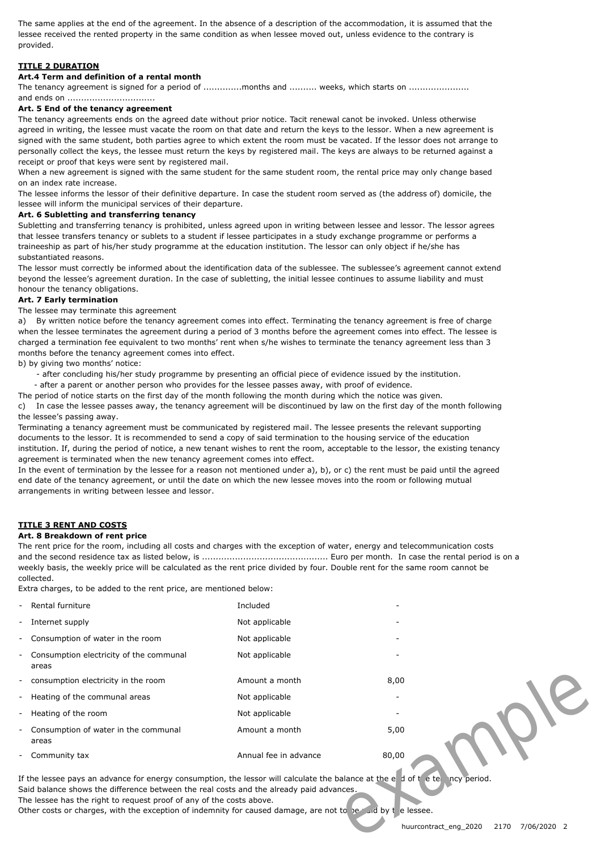The same applies at the end of the agreement. In the absence of a description of the accommodation, it is assumed that the lessee received the rented property in the same condition as when lessee moved out, unless evidence to the contrary is provided.

# **TITLE 2 DURATION**

## **Art.4 Term and definition of a rental month**

The tenancy agreement is signed for a period of .............months and .......... weeks, which starts on ....................

#### and ends on ................................ **Art. 5 End of the tenancy agreement**

The tenancy agreements ends on the agreed date without prior notice. Tacit renewal canot be invoked. Unless otherwise agreed in writing, the lessee must vacate the room on that date and return the keys to the lessor. When a new agreement is signed with the same student, both parties agree to which extent the room must be vacated. If the lessor does not arrange to personally collect the keys, the lessee must return the keys by registered mail. The keys are always to be returned against a receipt or proof that keys were sent by registered mail.

When a new agreement is signed with the same student for the same student room, the rental price may only change based on an index rate increase.

The lessee informs the lessor of their definitive departure. In case the student room served as (the address of) domicile, the lessee will inform the municipal services of their departure.

#### **Art. 6 Subletting and transferring tenancy**

Subletting and transferring tenancy is prohibited, unless agreed upon in writing between lessee and lessor. The lessor agrees that lessee transfers tenancy or sublets to a student if lessee participates in a study exchange programme or performs a traineeship as part of his/her study programme at the education institution. The lessor can only object if he/she has substantiated reasons.

The lessor must correctly be informed about the identification data of the sublessee. The sublessee's agreement cannot extend beyond the lessee's agreement duration. In the case of subletting, the initial lessee continues to assume liability and must honour the tenancy obligations.

## **Art. 7 Early termination**

The lessee may terminate this agreement

a) By written notice before the tenancy agreement comes into effect. Terminating the tenancy agreement is free of charge when the lessee terminates the agreement during a period of 3 months before the agreement comes into effect. The lessee is charged a termination fee equivalent to two months' rent when s/he wishes to terminate the tenancy agreement less than 3 months before the tenancy agreement comes into effect.

b) by giving two months' notice:

- after concluding his/her study programme by presenting an official piece of evidence issued by the institution.

- after a parent or another person who provides for the lessee passes away, with proof of evidence.

The period of notice starts on the first day of the month following the month during which the notice was given. c) In case the lessee passes away, the tenancy agreement will be discontinued by law on the first day of the month following the lessee's passing away.

Terminating a tenancy agreement must be communicated by registered mail. The lessee presents the relevant supporting documents to the lessor. It is recommended to send a copy of said termination to the housing service of the education institution. If, during the period of notice, a new tenant wishes to rent the room, acceptable to the lessor, the existing tenancy agreement is terminated when the new tenancy agreement comes into effect.

In the event of termination by the lessee for a reason not mentioned under a), b), or c) the rent must be paid until the agreed end date of the tenancy agreement, or until the date on which the new lessee moves into the room or following mutual arrangements in writing between lessee and lessor.

# **TITLE 3 RENT AND COSTS**

# **Art. 8 Breakdown of rent price**

The rent price for the room, including all costs and charges with the exception of water, energy and telecommunication costs and the second residence tax as listed below, is .............................................. Euro per month. In case the rental period is on a weekly basis, the weekly price will be calculated as the rent price divided by four. Double rent for the same room cannot be collected.

Extra charges, to be added to the rent price, are mentioned below:

| Rental furniture                                                                                                                                                                                                                                                                                                                                                                                                                                                   | Included              |       |
|--------------------------------------------------------------------------------------------------------------------------------------------------------------------------------------------------------------------------------------------------------------------------------------------------------------------------------------------------------------------------------------------------------------------------------------------------------------------|-----------------------|-------|
| Internet supply                                                                                                                                                                                                                                                                                                                                                                                                                                                    | Not applicable        |       |
| Consumption of water in the room                                                                                                                                                                                                                                                                                                                                                                                                                                   | Not applicable        |       |
| Consumption electricity of the communal<br>areas                                                                                                                                                                                                                                                                                                                                                                                                                   | Not applicable        |       |
| consumption electricity in the room                                                                                                                                                                                                                                                                                                                                                                                                                                | Amount a month        | 8,00  |
| Heating of the communal areas                                                                                                                                                                                                                                                                                                                                                                                                                                      | Not applicable        |       |
| Heating of the room                                                                                                                                                                                                                                                                                                                                                                                                                                                | Not applicable        |       |
| Consumption of water in the communal<br>areas                                                                                                                                                                                                                                                                                                                                                                                                                      | Amount a month        | 5,00  |
| Community tax                                                                                                                                                                                                                                                                                                                                                                                                                                                      | Annual fee in advance | 80,00 |
| If the lessee pays an advance for energy consumption, the lessor will calculate the balance at the et d of the tent ncy period.<br>Said balance shows the difference between the real costs and the already paid advances.<br>The lessee has the right to request proof of any of the costs above.<br>Other costs or charges, with the exception of indemnity for caused damage, are not to be ruid by t e lessee.<br>huurcontract_eng_2020<br>2170<br>7/06/2020 2 |                       |       |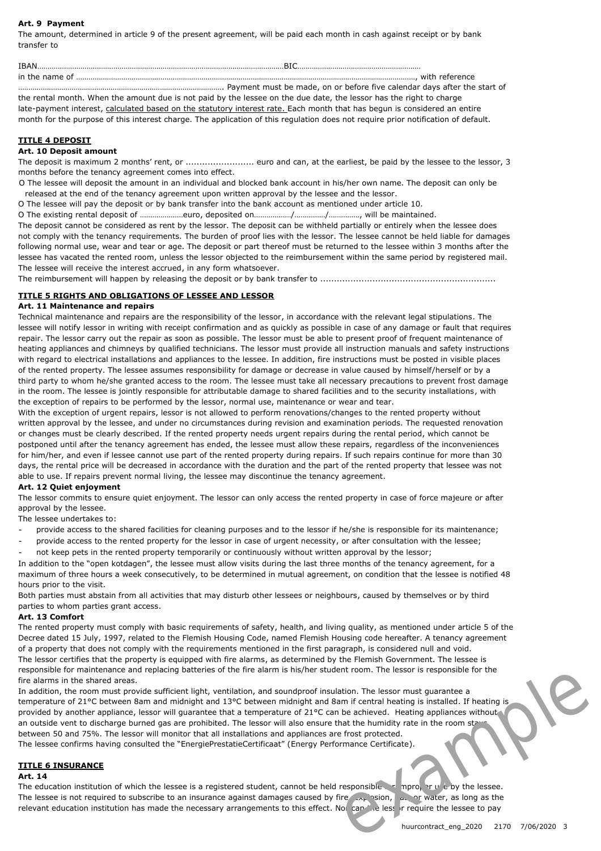## **Art. 9 Payment**

The amount, determined in article 9 of the present agreement, will be paid each month in cash against receipt or by bank transfer to

| <b>TRAN</b> | -BIC                                                                                                                |
|-------------|---------------------------------------------------------------------------------------------------------------------|
|             |                                                                                                                     |
|             |                                                                                                                     |
|             | the rental month. When the amount due is not paid by the lessee on the due date, the lessor has the right to charge |

late-payment interest, calculated based on the statutory interest rate. Each month that has begun is considered an entire month for the purpose of this interest charge. The application of this regulation does not require prior notification of default.

# **TITLE 4 DEPOSIT**

# **Art. 10 Deposit amount**

The deposit is maximum 2 months' rent, or ....................... euro and can, at the earliest, be paid by the lessee to the lessor, 3 months before the tenancy agreement comes into effect.

O The lessee will deposit the amount in an individual and blocked bank account in his/her own name. The deposit can only be released at the end of the tenancy agreement upon written approval by the lessee and the lessor.

O The lessee will pay the deposit or by bank transfer into the bank account as mentioned under article 10.

O The existing rental deposit of …………………euro, deposited on………………/……………/……………, will be maintained.

The deposit cannot be considered as rent by the lessor. The deposit can be withheld partially or entirely when the lessee does not comply with the tenancy requirements. The burden of proof lies with the lessor. The lessee cannot be held liable for damages following normal use, wear and tear or age. The deposit or part thereof must be returned to the lessee within 3 months after the lessee has vacated the rented room, unless the lessor objected to the reimbursement within the same period by registered mail. The lessee will receive the interest accrued, in any form whatsoever.

The reimbursement will happen by releasing the deposit or by bank transfer to ................................................................

# **TITLE 5 RIGHTS AND OBLIGATIONS OF LESSEE AND LESSOR**

#### **Art. 11 Maintenance and repairs**

Technical maintenance and repairs are the responsibility of the lessor, in accordance with the relevant legal stipulations. The lessee will notify lessor in writing with receipt confirmation and as quickly as possible in case of any damage or fault that requires repair. The lessor carry out the repair as soon as possible. The lessor must be able to present proof of frequent maintenance of heating appliances and chimneys by qualified technicians. The lessor must provide all instruction manuals and safety instructions with regard to electrical installations and appliances to the lessee. In addition, fire instructions must be posted in visible places of the rented property. The lessee assumes responsibility for damage or decrease in value caused by himself/herself or by a third party to whom he/she granted access to the room. The lessee must take all necessary precautions to prevent frost damage in the room. The lessee is jointly responsible for attributable damage to shared facilities and to the security installations, with the exception of repairs to be performed by the lessor, normal use, maintenance or wear and tear.

With the exception of urgent repairs, lessor is not allowed to perform renovations/changes to the rented property without written approval by the lessee, and under no circumstances during revision and examination periods. The requested renovation or changes must be clearly described. If the rented property needs urgent repairs during the rental period, which cannot be postponed until after the tenancy agreement has ended, the lessee must allow these repairs, regardless of the inconveniences for him/her, and even if lessee cannot use part of the rented property during repairs. If such repairs continue for more than 30 days, the rental price will be decreased in accordance with the duration and the part of the rented property that lessee was not able to use. If repairs prevent normal living, the lessee may discontinue the tenancy agreement.

#### **Art. 12 Quiet enjoyment**

The lessor commits to ensure quiet enjoyment. The lessor can only access the rented property in case of force majeure or after approval by the lessee.

The lessee undertakes to:

- provide access to the shared facilities for cleaning purposes and to the lessor if he/she is responsible for its maintenance;
- provide access to the rented property for the lessor in case of urgent necessity, or after consultation with the lessee;
- not keep pets in the rented property temporarily or continuously without written approval by the lessor;

In addition to the "open kotdagen", the lessee must allow visits during the last three months of the tenancy agreement, for a maximum of three hours a week consecutively, to be determined in mutual agreement, on condition that the lessee is notified 48 hours prior to the visit.

Both parties must abstain from all activities that may disturb other lessees or neighbours, caused by themselves or by third parties to whom parties grant access.

#### **Art. 13 Comfort**

The rented property must comply with basic requirements of safety, health, and living quality, as mentioned under article 5 of the Decree dated 15 July, 1997, related to the Flemish Housing Code, named Flemish Housing code hereafter. A tenancy agreement of a property that does not comply with the requirements mentioned in the first paragraph, is considered null and void. The lessor certifies that the property is equipped with fire alarms, as determined by the Flemish Government. The lessee is responsible for maintenance and replacing batteries of the fire alarm is his/her student room. The lessor is responsible for the fire alarms in the shared areas.

In addition, the room must provide sufficient light, ventilation, and soundproof insulation. The lessor must guarantee a temperature of 21°C between 8am and midnight and 13°C between midnight and 8am if central heating is installed. If heating is provided by another appliance, lessor will guarantee that a temperature of 21°C can be achieved. Heating appliances without an outside vent to discharge burned gas are prohibited. The lessor will also ensure that the humidity rate in the room stavs between 50 and 75%. The lessor will monitor that all installations and appliances are frost protected. The lessee confirms having consulted the "EnergiePrestatieCertificaat" (Energy Performance Certificate). relevant education institution has made the necessary arrangements to this effect. Nor can but allow the necessor institution has the necessary arrangements to this energy particle and stream and midnight and 13°C between

### **TITLE 6 INSURANCE**

#### **Art. 14**

The education institution of which the lessee is a registered student, cannot be held responsible for improper use by the lessee. The lessee is not required to subscribe to an insurance against damages caused by fire,  $\exp(\frac{1}{2}x)$  or water, as long as the